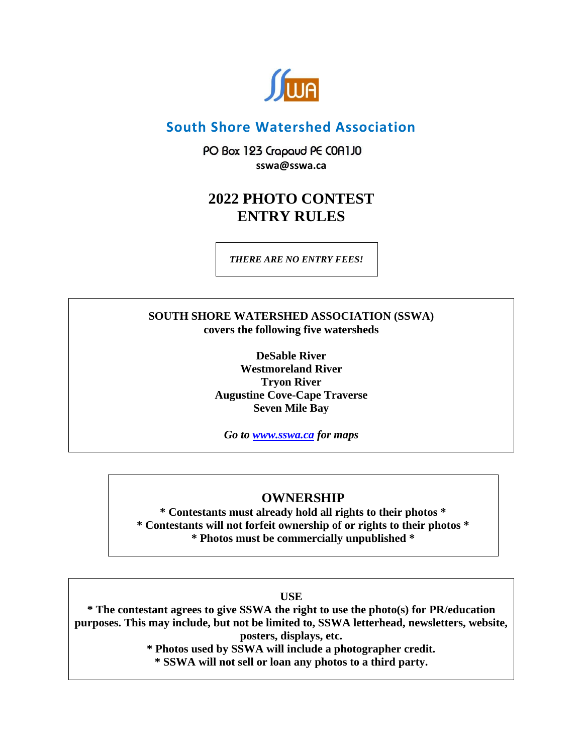

# **South Shore Watershed Association**

PO Box 123 Crapaud PE COA1JO **sswa@sswa.ca**

# **2022 PHOTO CONTEST ENTRY RULES**

*THERE ARE NO ENTRY FEES!*

## **SOUTH SHORE WATERSHED ASSOCIATION (SSWA) covers the following five watersheds**

**DeSable River Westmoreland River Tryon River Augustine Cove-Cape Traverse Seven Mile Bay**

*Go to [www.sswa.ca](http://www.sswa.ca/) for maps*

# **OWNERSHIP**

**\* Contestants must already hold all rights to their photos \* \* Contestants will not forfeit ownership of or rights to their photos \* \* Photos must be commercially unpublished \***

**USE**

**\* The contestant agrees to give SSWA the right to use the photo(s) for PR/education purposes. This may include, but not be limited to, SSWA letterhead, newsletters, website, posters, displays, etc.** 

**\* Photos used by SSWA will include a photographer credit.**

**\* SSWA will not sell or loan any photos to a third party.**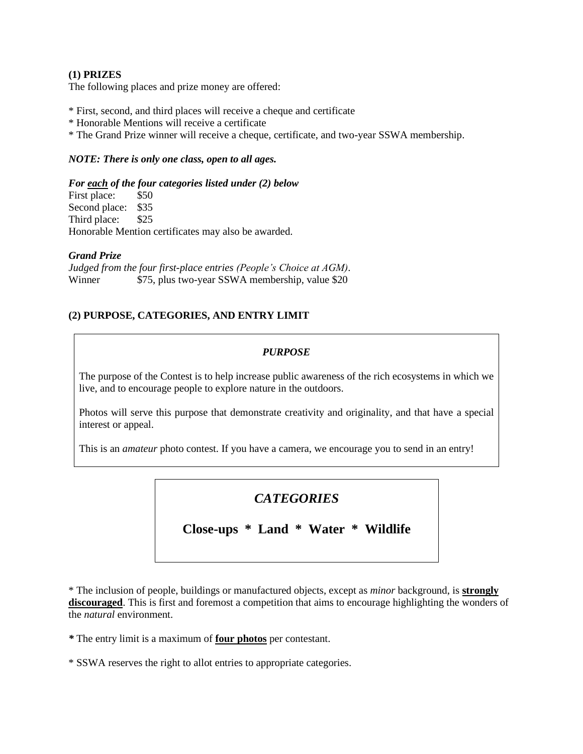#### **(1) PRIZES**

The following places and prize money are offered:

- \* First, second, and third places will receive a cheque and certificate
- \* Honorable Mentions will receive a certificate
- \* The Grand Prize winner will receive a cheque, certificate, and two-year SSWA membership.

#### *NOTE: There is only one class, open to all ages.*

#### *For each of the four categories listed under (2) below*

First place: \$50 Second place: \$35 Third place: \$25 Honorable Mention certificates may also be awarded.

#### *Grand Prize*

*Judged from the four first-place entries (People's Choice at AGM).* Winner  $$75$ , plus two-year SSWA membership, value \$20

#### **(2) PURPOSE, CATEGORIES, AND ENTRY LIMIT**

#### *PURPOSE*

The purpose of the Contest is to help increase public awareness of the rich ecosystems in which we live, and to encourage people to explore nature in the outdoors.

Photos will serve this purpose that demonstrate creativity and originality, and that have a special interest or appeal.

This is an *amateur* photo contest. If you have a camera, we encourage you to send in an entry!

# *CATEGORIES*

**Close-ups \* Land \* Water \* Wildlife** 

\* The inclusion of people, buildings or manufactured objects, except as *minor* background, is **strongly discouraged**. This is first and foremost a competition that aims to encourage highlighting the wonders of the *natural* environment.

*\** The entry limit is a maximum of **four photos** per contestant.

\* SSWA reserves the right to allot entries to appropriate categories.